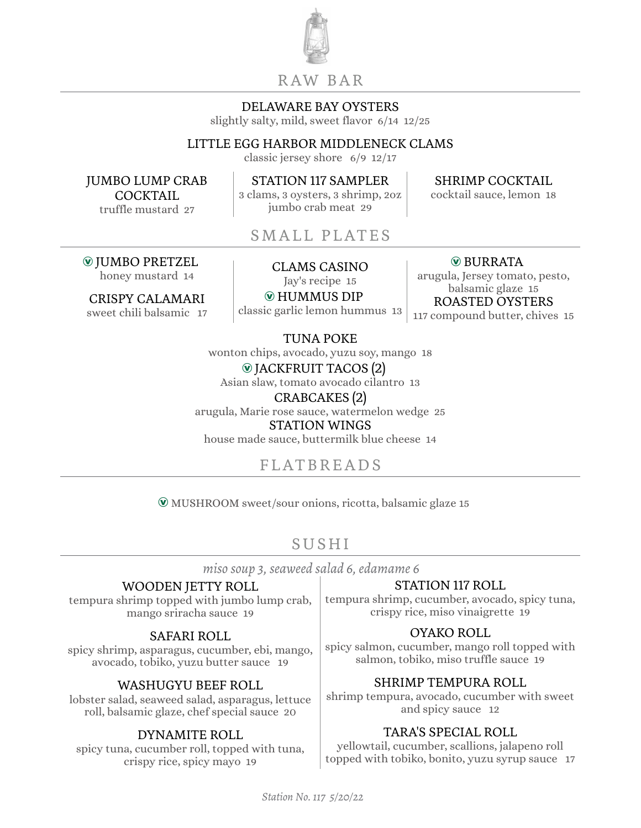

## R AW BA R

### DELAWARE BAY OYSTERS

slightly salty, mild, sweet flavor 6/14 12/25

## LITTLE EGG HARBOR MIDDLENECK CLAMS

classic jersey shore 6/9 12/17

JUMBO LUMP CRAB COCKTAIL truffle mustard 27

STATION 117 SAMPLER 3 clams, 3 oysters, 3 shrimp, 2oz jumbo crab meat 29

SHRIMP COCKTAIL

cocktail sauce, lemon 18

SMALL PLATES

Æ JUMBO PRETZEL UMBO PRETZEL<br>honey mustard 14 CLAMS CASINO

CRISPY CALAMARI sweet chili balsamic 17

Jay's recipe 15 Æ HUMMUS DIP

classic garlic lemon hummus 13

Æ BURRATA

arugula, Jersey tomato, pesto, balsamic glaze 15 ROASTED OYSTERS 117 compound butter, chives 15

TUNA POKE

wonton chips, avocado, yuzu soy, mango 18 Æ JACKFRUIT TACOS (2)

Asian slaw, tomato avocado cilantro 13

CRABCAKES (2)

arugula, Marie rose sauce, watermelon wedge 25 STATION WINGS

house made sauce, buttermilk blue cheese 14

# FLATBREADS

Æ MUSHROOM sweet/sour onions, ricotta, balsamic glaze 15

# SUSHI

*miso soup 3, seaweed salad 6, edamame 6*

## WOODEN JETTY ROLL

tempura shrimp topped with jumbo lump crab, mango sriracha sauce 19

## SAFARI ROLL

spicy shrimp, asparagus, cucumber, ebi, mango, avocado, tobiko, yuzu butter sauce 19

## WASHUGYU BEEF ROLL

lobster salad, seaweed salad, asparagus, lettuce roll, balsamic glaze, chef special sauce 20

## DYNAMITE ROLL

spicy tuna, cucumber roll, topped with tuna, crispy rice, spicy mayo 19

## STATION 117 ROLL

tempura shrimp, cucumber, avocado, spicy tuna, crispy rice, miso vinaigrette 19

## OYAKO ROLL

spicy salmon, cucumber, mango roll topped with salmon, tobiko, miso truffle sauce 19

## SHRIMP TEMPURA ROLL

shrimp tempura, avocado, cucumber with sweet and spicy sauce 12

## TARA'S SPECIAL ROLL

yellowtail, cucumber, scallions, jalapeno roll topped with tobiko, bonito, yuzu syrup sauce 17